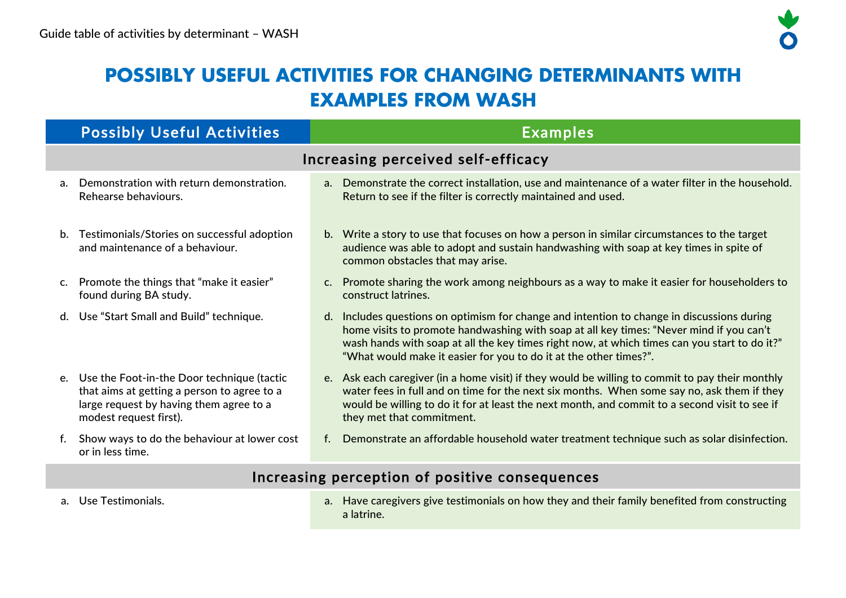# **POSSIBLY USEFUL ACTIVITIES FOR CHANGING DETERMINANTS WITH EXAMPLES FROM WASH**

|                | <b>Possibly Useful Activities</b>                                                                                                                                 | <b>Examples</b>                                                                                                                                                                                                                                                                                                                                               |  |  |  |  |
|----------------|-------------------------------------------------------------------------------------------------------------------------------------------------------------------|---------------------------------------------------------------------------------------------------------------------------------------------------------------------------------------------------------------------------------------------------------------------------------------------------------------------------------------------------------------|--|--|--|--|
|                | Increasing perceived self-efficacy                                                                                                                                |                                                                                                                                                                                                                                                                                                                                                               |  |  |  |  |
| a <sub>z</sub> | Demonstration with return demonstration.<br>Rehearse behaviours.                                                                                                  | a. Demonstrate the correct installation, use and maintenance of a water filter in the household.<br>Return to see if the filter is correctly maintained and used.                                                                                                                                                                                             |  |  |  |  |
| b.             | Testimonials/Stories on successful adoption<br>and maintenance of a behaviour.                                                                                    | b. Write a story to use that focuses on how a person in similar circumstances to the target<br>audience was able to adopt and sustain handwashing with soap at key times in spite of<br>common obstacles that may arise.                                                                                                                                      |  |  |  |  |
| C <sub>1</sub> | Promote the things that "make it easier"<br>found during BA study.                                                                                                | c. Promote sharing the work among neighbours as a way to make it easier for householders to<br>construct latrines.                                                                                                                                                                                                                                            |  |  |  |  |
|                | Use "Start Small and Build" technique.                                                                                                                            | Includes questions on optimism for change and intention to change in discussions during<br>d.<br>home visits to promote handwashing with soap at all key times: "Never mind if you can't<br>wash hands with soap at all the key times right now, at which times can you start to do it?"<br>"What would make it easier for you to do it at the other times?". |  |  |  |  |
|                | e. Use the Foot-in-the Door technique (tactic<br>that aims at getting a person to agree to a<br>large request by having them agree to a<br>modest request first). | e. Ask each caregiver (in a home visit) if they would be willing to commit to pay their monthly<br>water fees in full and on time for the next six months. When some say no, ask them if they<br>would be willing to do it for at least the next month, and commit to a second visit to see if<br>they met that commitment.                                   |  |  |  |  |
| f.             | Show ways to do the behaviour at lower cost<br>or in less time.                                                                                                   | Demonstrate an affordable household water treatment technique such as solar disinfection.                                                                                                                                                                                                                                                                     |  |  |  |  |

# Increasing perception of positive consequences

a. Use Testimonials. a. Have caregivers give testimonials on how they and their family benefited from constructing a latrine.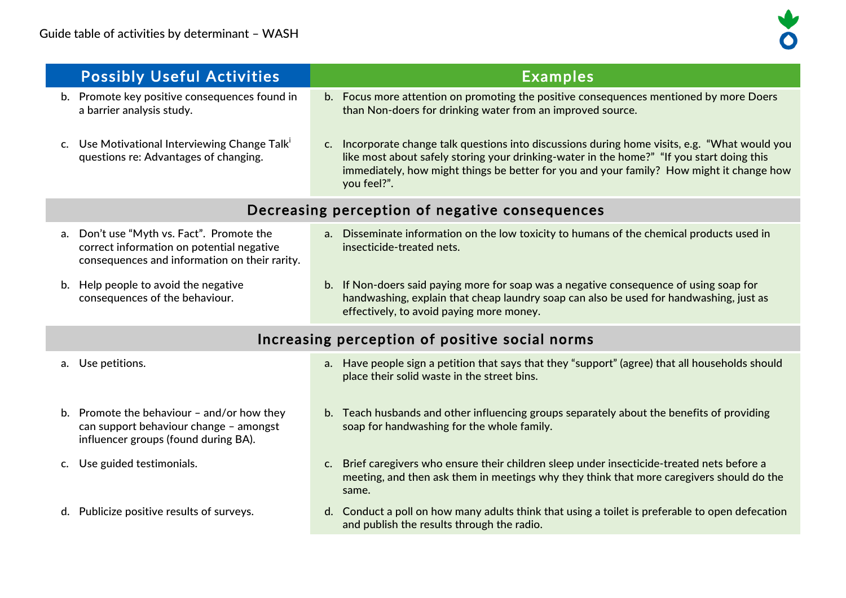| <b>Possibly Useful Activities</b>                                                                                                                   | <b>Examples</b>                                                                                                                                                                                                                                                                                        |  |  |
|-----------------------------------------------------------------------------------------------------------------------------------------------------|--------------------------------------------------------------------------------------------------------------------------------------------------------------------------------------------------------------------------------------------------------------------------------------------------------|--|--|
| b. Promote key positive consequences found in<br>a barrier analysis study.                                                                          | b. Focus more attention on promoting the positive consequences mentioned by more Doers<br>than Non-doers for drinking water from an improved source.                                                                                                                                                   |  |  |
| Use Motivational Interviewing Change Talk'<br>$c_{\cdot}$<br>questions re: Advantages of changing.                                                  | c. Incorporate change talk questions into discussions during home visits, e.g. "What would you<br>like most about safely storing your drinking-water in the home?" "If you start doing this<br>immediately, how might things be better for you and your family? How might it change how<br>you feel?". |  |  |
|                                                                                                                                                     | Decreasing perception of negative consequences                                                                                                                                                                                                                                                         |  |  |
| Don't use "Myth vs. Fact". Promote the<br>$a_{\cdot}$<br>correct information on potential negative<br>consequences and information on their rarity. | a. Disseminate information on the low toxicity to humans of the chemical products used in<br>insecticide-treated nets.                                                                                                                                                                                 |  |  |
| b. Help people to avoid the negative<br>consequences of the behaviour.                                                                              | b. If Non-doers said paying more for soap was a negative consequence of using soap for<br>handwashing, explain that cheap laundry soap can also be used for handwashing, just as<br>effectively, to avoid paying more money.                                                                           |  |  |
| Increasing perception of positive social norms                                                                                                      |                                                                                                                                                                                                                                                                                                        |  |  |
| a. Use petitions.                                                                                                                                   | a. Have people sign a petition that says that they "support" (agree) that all households should<br>place their solid waste in the street bins.                                                                                                                                                         |  |  |
| b. Promote the behaviour $-$ and/or how they<br>can support behaviour change - amongst<br>influencer groups (found during BA).                      | b. Teach husbands and other influencing groups separately about the benefits of providing<br>soap for handwashing for the whole family.                                                                                                                                                                |  |  |
| Use guided testimonials.<br>C.                                                                                                                      | c. Brief caregivers who ensure their children sleep under insecticide-treated nets before a<br>meeting, and then ask them in meetings why they think that more caregivers should do the<br>same.                                                                                                       |  |  |
| d. Publicize positive results of surveys.                                                                                                           | d. Conduct a poll on how many adults think that using a toilet is preferable to open defecation<br>and publish the results through the radio.                                                                                                                                                          |  |  |
|                                                                                                                                                     |                                                                                                                                                                                                                                                                                                        |  |  |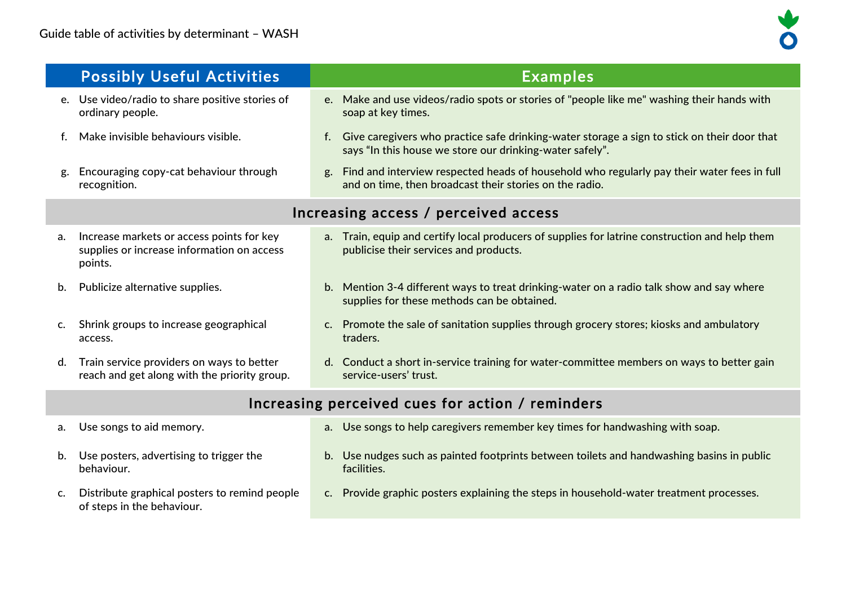

|                                                  | <b>Possibly Useful Activities</b>                                                                  | <b>Examples</b>                                                                                                                                             |  |  |
|--------------------------------------------------|----------------------------------------------------------------------------------------------------|-------------------------------------------------------------------------------------------------------------------------------------------------------------|--|--|
|                                                  | e. Use video/radio to share positive stories of<br>ordinary people.                                | e. Make and use videos/radio spots or stories of "people like me" washing their hands with<br>soap at key times.                                            |  |  |
| f.                                               | Make invisible behaviours visible.                                                                 | f. Give caregivers who practice safe drinking-water storage a sign to stick on their door that<br>says "In this house we store our drinking-water safely".  |  |  |
| g.                                               | Encouraging copy-cat behaviour through<br>recognition.                                             | Find and interview respected heads of household who regularly pay their water fees in full<br>g.<br>and on time, then broadcast their stories on the radio. |  |  |
|                                                  | Increasing access / perceived access                                                               |                                                                                                                                                             |  |  |
| a.                                               | Increase markets or access points for key<br>supplies or increase information on access<br>points. | a. Train, equip and certify local producers of supplies for latrine construction and help them<br>publicise their services and products.                    |  |  |
| b.                                               | Publicize alternative supplies.                                                                    | b. Mention 3-4 different ways to treat drinking-water on a radio talk show and say where<br>supplies for these methods can be obtained.                     |  |  |
| C.                                               | Shrink groups to increase geographical<br>access.                                                  | Promote the sale of sanitation supplies through grocery stores; kiosks and ambulatory<br>C <sub>1</sub><br>traders.                                         |  |  |
| d.                                               | Train service providers on ways to better<br>reach and get along with the priority group.          | d. Conduct a short in-service training for water-committee members on ways to better gain<br>service-users' trust.                                          |  |  |
| Increasing perceived cues for action / reminders |                                                                                                    |                                                                                                                                                             |  |  |
| а.                                               | Use songs to aid memory.                                                                           | a. Use songs to help caregivers remember key times for handwashing with soap.                                                                               |  |  |

- b. Use posters, advertising to trigger the behaviour.
- c. Distribute graphical posters to remind people of steps in the behaviour.
- b. Use nudges such as painted footprints between toilets and handwashing basins in public facilities.
- c. Provide graphic posters explaining the steps in household-water treatment processes.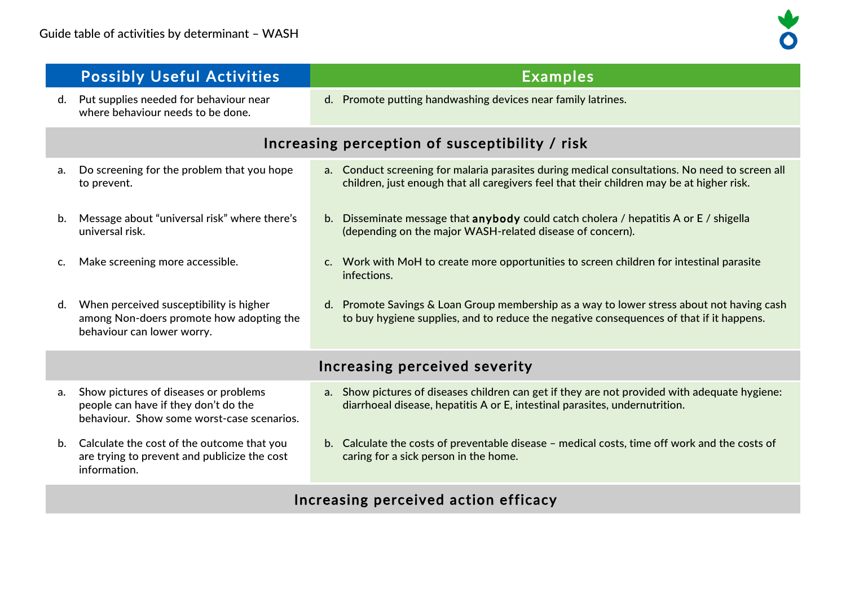| Increasing perception of susceptibility / risk                                                                                                                                              |  |  |
|---------------------------------------------------------------------------------------------------------------------------------------------------------------------------------------------|--|--|
| a. Conduct screening for malaria parasites during medical consultations. No need to screen all<br>children, just enough that all caregivers feel that their children may be at higher risk. |  |  |
| b. Disseminate message that <b>anybody</b> could catch cholera / hepatitis A or $E$ / shigella                                                                                              |  |  |
| c. Work with MoH to create more opportunities to screen children for intestinal parasite                                                                                                    |  |  |
| d. Promote Savings & Loan Group membership as a way to lower stress about not having cash<br>to buy hygiene supplies, and to reduce the negative consequences of that if it happens.        |  |  |
| Increasing perceived severity                                                                                                                                                               |  |  |
| a. Show pictures of diseases children can get if they are not provided with adequate hygiene:<br>diarrhoeal disease, hepatitis A or E, intestinal parasites, undernutrition.                |  |  |
| b. Calculate the costs of preventable disease - medical costs, time off work and the costs of                                                                                               |  |  |
|                                                                                                                                                                                             |  |  |

# Increasing perceived action efficacy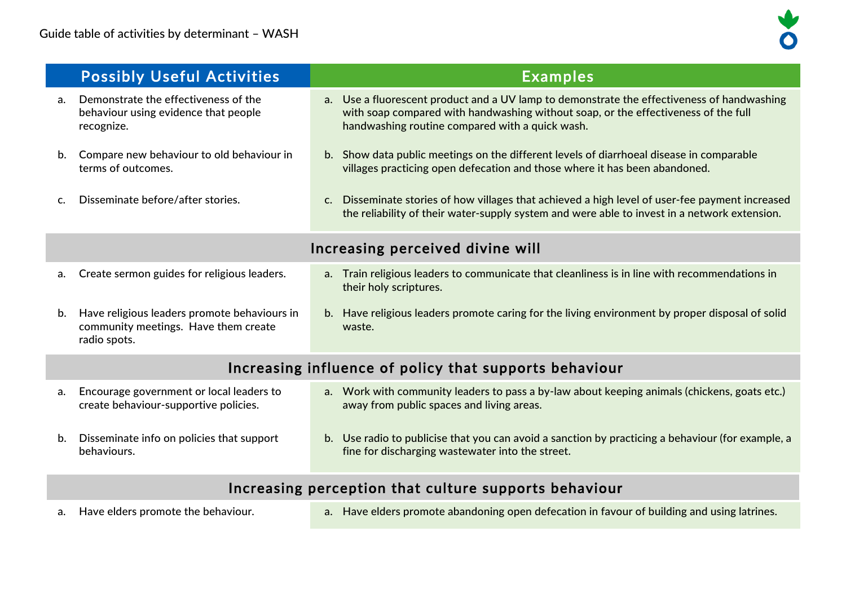

|                                  | <b>Possibly Useful Activities</b>                                                                    | <b>Examples</b>                                                                                                                                                                                                                     |
|----------------------------------|------------------------------------------------------------------------------------------------------|-------------------------------------------------------------------------------------------------------------------------------------------------------------------------------------------------------------------------------------|
| $a_{\cdot}$                      | Demonstrate the effectiveness of the<br>behaviour using evidence that people<br>recognize.           | a. Use a fluorescent product and a UV lamp to demonstrate the effectiveness of handwashing<br>with soap compared with handwashing without soap, or the effectiveness of the full<br>handwashing routine compared with a quick wash. |
| b.                               | Compare new behaviour to old behaviour in<br>terms of outcomes.                                      | b. Show data public meetings on the different levels of diarrhoeal disease in comparable<br>villages practicing open defecation and those where it has been abandoned.                                                              |
|                                  | Disseminate before/after stories.                                                                    | c. Disseminate stories of how villages that achieved a high level of user-fee payment increased<br>the reliability of their water-supply system and were able to invest in a network extension.                                     |
| Increasing perceived divine will |                                                                                                      |                                                                                                                                                                                                                                     |
| a.                               | Create sermon guides for religious leaders.                                                          | Train religious leaders to communicate that cleanliness is in line with recommendations in<br>a.<br>their holy scriptures.                                                                                                          |
| b.                               | Have religious leaders promote behaviours in<br>community meetings. Have them create<br>radio spots. | b. Have religious leaders promote caring for the living environment by proper disposal of solid<br>waste.                                                                                                                           |

# Increasing influence of policy that supports behaviour

| а. | Encourage government or local leaders to<br>create behaviour-supportive policies. | a. Work with community leaders to pass a by-law about keeping animals (chickens, goats etc.)<br>away from public spaces and living areas.             |
|----|-----------------------------------------------------------------------------------|-------------------------------------------------------------------------------------------------------------------------------------------------------|
| b. | Disseminate info on policies that support<br>behaviours.                          | b. Use radio to publicise that you can avoid a sanction by practicing a behaviour (for example, a<br>fine for discharging wastewater into the street. |

# Increasing perception that culture supports behaviour

- 
- a. Have elders promote the behaviour. <br>a. Have elders promote the behaviour. <br>a. Have elders promote the behaviour.